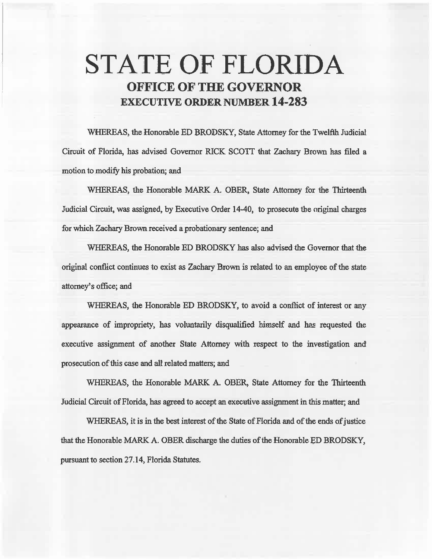# STATE OF FLORIDA OFFICE OF THE GOVERNOR EXECUTIVE ORDER NUMBER 14-283

WHEREAS, the Honorable ED BRODSKY, State Attorney for the Twelfth Judicial Circuit of Florida, has advised Governor RICK SCOTT that Zachary Brown has filed a motion to modify his probation; and

WHEREAS, the Honorable MARK A. OBER, State Attorney for the Thirteenth Judicial Circuit, was assigned, by Executive Order 14-40, to prosecute the original charges for which. Zachary Brown received a probationary sentence; and

WHEREAS, the Honorable ED BRODSKY has also advised the Governor that the original conflict continues to exist as Zachary Brown is related to an employee of the state attorney's office; and

WHEREAS, the Honorable ED BRODSKY, to avoid a conflict of interest or any appearance of impropriety, has voluntarily disqualified himself and has requested the. executive assignment of another State Attorney with respect to the investigation and prosecution of this case and all related matters; and

WHEREAS, the Honorable MARK A. OBER, State Attorney for the Thirteenth Judicial Circuit of Florida, has agreed to accept an. executive assignment in this matter; and

WHEREAS, it is in the best interest of the State of Florida and of the ends of justice that the Honorable MARK A. OBER discharge the duties of the Honorable ED BRODSKY, pursuant to section 27.14, Florida Statutes.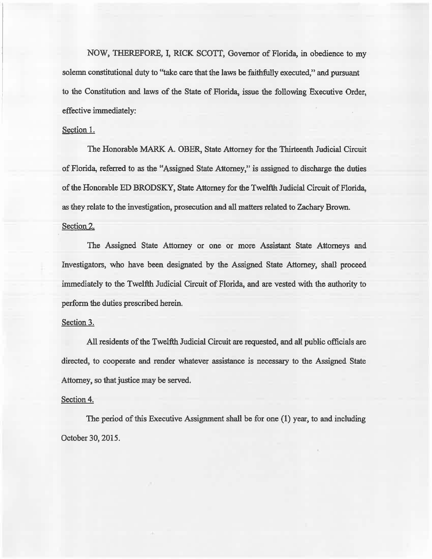NOW, THEREFORE, I, RICK SCOTT, Governor of Florida, in obedience to my solemn constitutional duty to "take care that the laws be faithfully executed," and pursuant to the Constitution and laws of the State of Florida, issue the following Executive Order, effective immediately:

## Section 1.

The Honorable MARK A. OBER, State Attorney for the Thirteenth Judicial Circuit of Florida, referred to as the "Assigned State Attorney," is assigned to discharge the duties of the Honorable ED BRODSKY, State Attorney for the Twelfth Judicial Circuit of Florida, as they relate to the investigation, prosecution and all matters related to Zachary Brown.

### Section 2.

The Assigned State Attorney or one or more Assistant State Attorneys and Investigators, who have been designated by the Assigned State Attorney, shall proceed immediately to the Twelfth Judicial Circuit of Florida, and are vested with the authority to perform the duties prescribed herein.

#### Section 3.

All residents of the Twelfth Judicial Circuit are requested, and all public officials are directed, to cooperate and render whatever assistance is necessary to the Assigned State Attorney, so that justice may be served.

#### Section 4.

The period of this Executive Assignment shall be for one (1) year, to and including October 30, 2015.